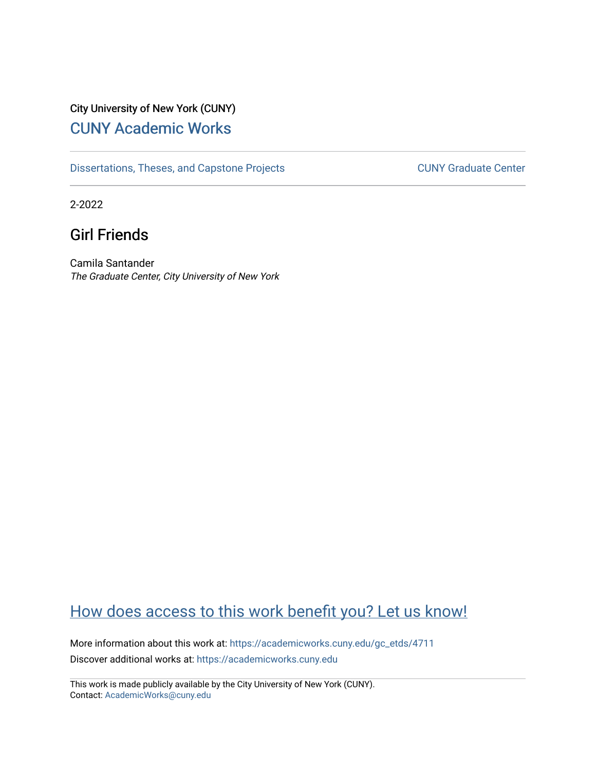# City University of New York (CUNY) [CUNY Academic Works](https://academicworks.cuny.edu/)

[Dissertations, Theses, and Capstone Projects](https://academicworks.cuny.edu/gc_etds) CUNY Graduate Center

2-2022

# Girl Friends

Camila Santander The Graduate Center, City University of New York

# [How does access to this work benefit you? Let us know!](http://ols.cuny.edu/academicworks/?ref=https://academicworks.cuny.edu/gc_etds/4711)

More information about this work at: [https://academicworks.cuny.edu/gc\\_etds/4711](https://academicworks.cuny.edu/gc_etds/4711) Discover additional works at: [https://academicworks.cuny.edu](https://academicworks.cuny.edu/?)

This work is made publicly available by the City University of New York (CUNY). Contact: [AcademicWorks@cuny.edu](mailto:AcademicWorks@cuny.edu)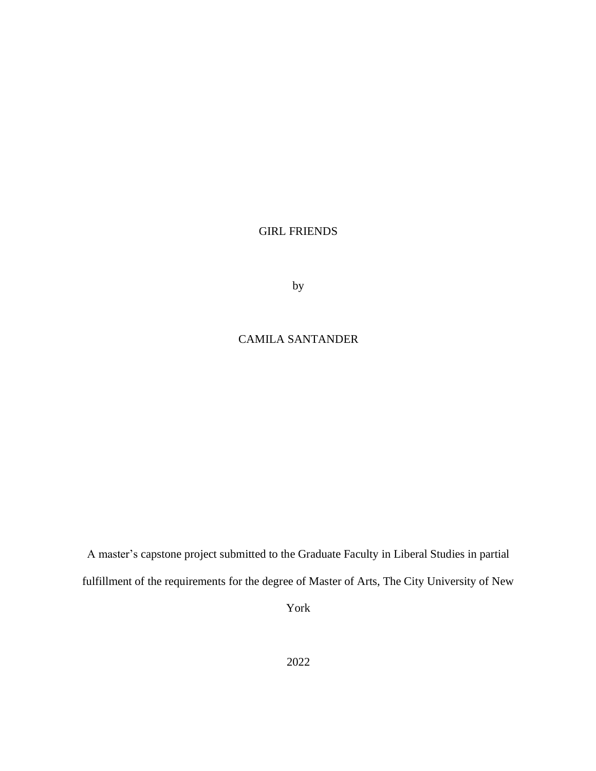## GIRL FRIENDS

by

# CAMILA SANTANDER

A master's capstone project submitted to the Graduate Faculty in Liberal Studies in partial fulfillment of the requirements for the degree of Master of Arts, The City University of New

York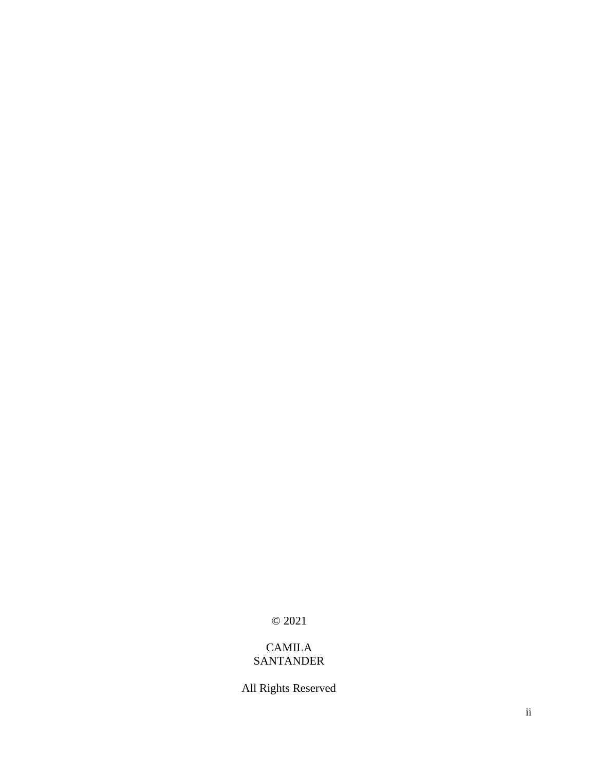© 2021

## CAMILA SANTANDER

All Rights Reserved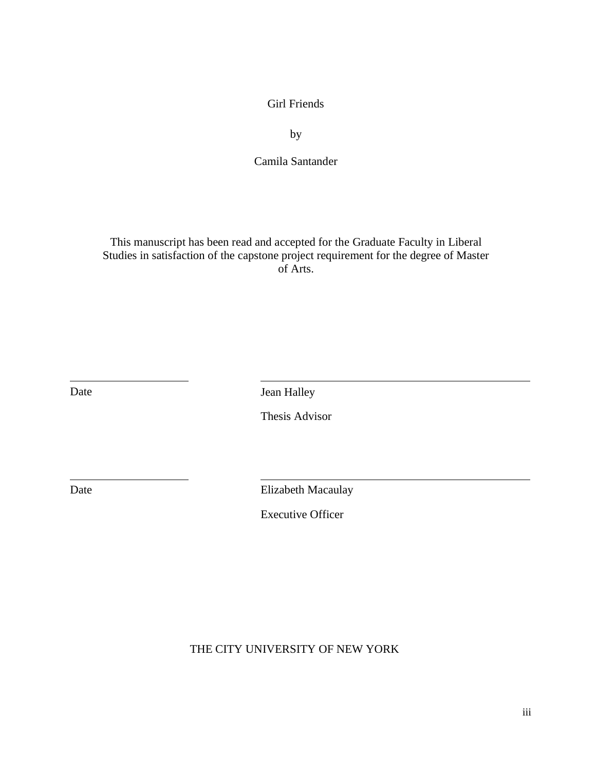Girl Friends

by

Camila Santander

This manuscript has been read and accepted for the Graduate Faculty in Liberal Studies in satisfaction of the capstone project requirement for the degree of Master of Arts.

Date Jean Halley

Thesis Advisor

Date Elizabeth Macaulay

Executive Officer

THE CITY UNIVERSITY OF NEW YORK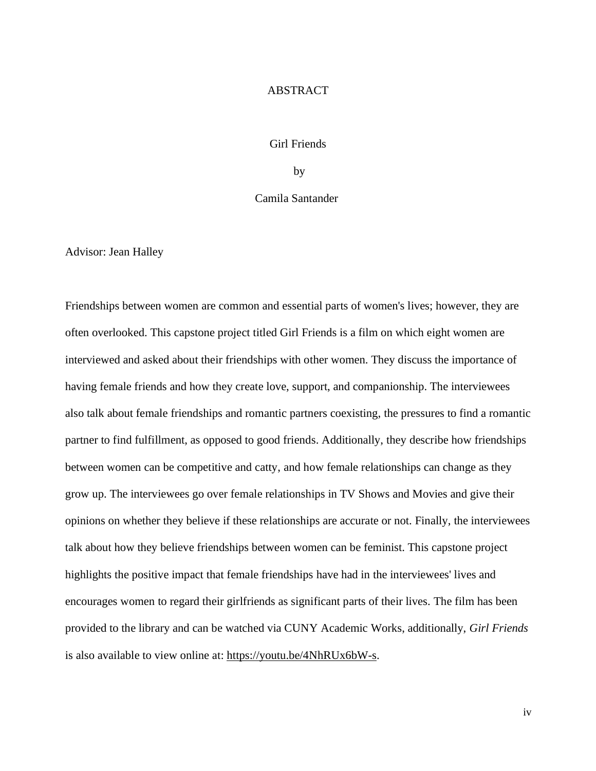### ABSTRACT

### Girl Friends

by

### Camila Santander

Advisor: Jean Halley

Friendships between women are common and essential parts of women's lives; however, they are often overlooked. This capstone project titled Girl Friends is a film on which eight women are interviewed and asked about their friendships with other women. They discuss the importance of having female friends and how they create love, support, and companionship. The interviewees also talk about female friendships and romantic partners coexisting, the pressures to find a romantic partner to find fulfillment, as opposed to good friends. Additionally, they describe how friendships between women can be competitive and catty, and how female relationships can change as they grow up. The interviewees go over female relationships in TV Shows and Movies and give their opinions on whether they believe if these relationships are accurate or not. Finally, the interviewees talk about how they believe friendships between women can be feminist. This capstone project highlights the positive impact that female friendships have had in the interviewees' lives and encourages women to regard their girlfriends as significant parts of their lives. The film has been provided to the library and can be watched via CUNY Academic Works, additionally, *Girl Friends* is also available to view online at: [https://youtu.be/4NhRUx6bW-s.](https://youtu.be/4NhRUx6bW-s)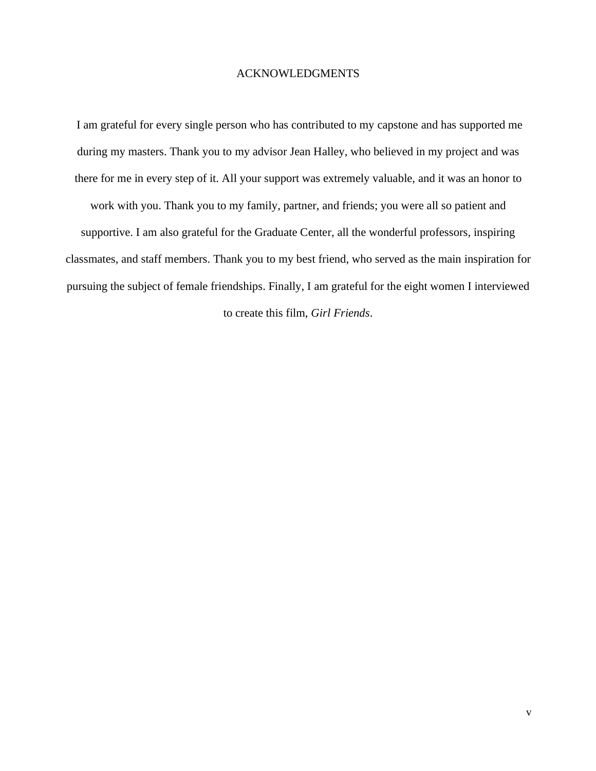### ACKNOWLEDGMENTS

I am grateful for every single person who has contributed to my capstone and has supported me during my masters. Thank you to my advisor Jean Halley, who believed in my project and was there for me in every step of it. All your support was extremely valuable, and it was an honor to work with you. Thank you to my family, partner, and friends; you were all so patient and supportive. I am also grateful for the Graduate Center, all the wonderful professors, inspiring classmates, and staff members. Thank you to my best friend, who served as the main inspiration for pursuing the subject of female friendships. Finally, I am grateful for the eight women I interviewed to create this film, *Girl Friends*.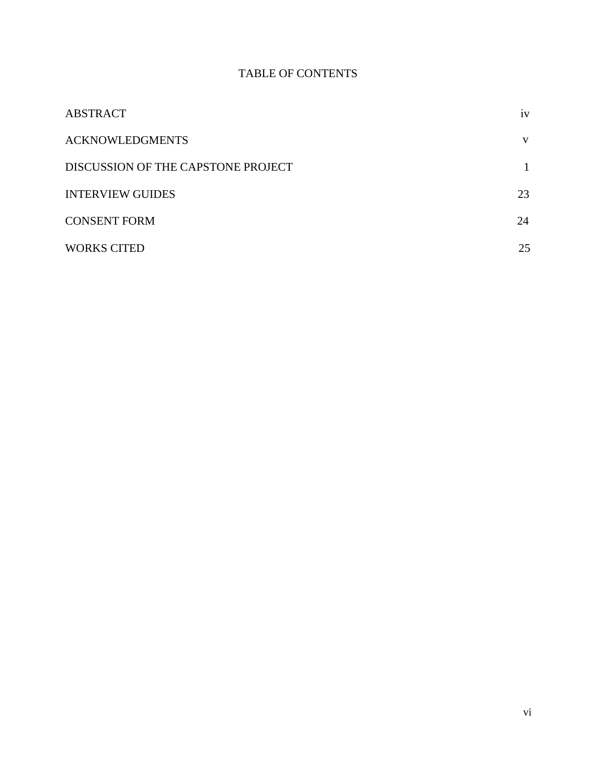# TABLE OF CONTENTS

| <b>ABSTRACT</b>                    | 1V |
|------------------------------------|----|
| <b>ACKNOWLEDGMENTS</b>             | V  |
| DISCUSSION OF THE CAPSTONE PROJECT |    |
| <b>INTERVIEW GUIDES</b>            | 23 |
| <b>CONSENT FORM</b>                | 24 |
| <b>WORKS CITED</b>                 | 25 |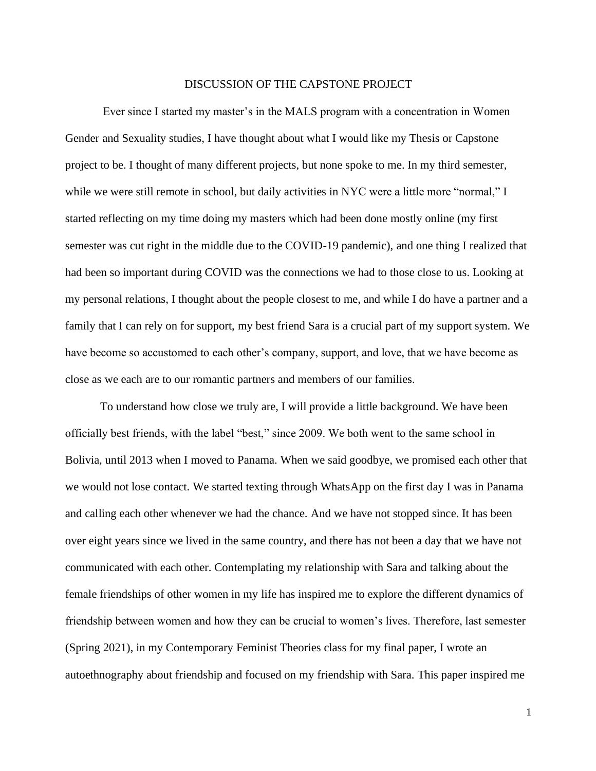#### DISCUSSION OF THE CAPSTONE PROJECT

Ever since I started my master's in the MALS program with a concentration in Women Gender and Sexuality studies, I have thought about what I would like my Thesis or Capstone project to be. I thought of many different projects, but none spoke to me. In my third semester, while we were still remote in school, but daily activities in NYC were a little more "normal," I started reflecting on my time doing my masters which had been done mostly online (my first semester was cut right in the middle due to the COVID-19 pandemic), and one thing I realized that had been so important during COVID was the connections we had to those close to us. Looking at my personal relations, I thought about the people closest to me, and while I do have a partner and a family that I can rely on for support, my best friend Sara is a crucial part of my support system. We have become so accustomed to each other's company, support, and love, that we have become as close as we each are to our romantic partners and members of our families.

To understand how close we truly are, I will provide a little background. We have been officially best friends, with the label "best," since 2009. We both went to the same school in Bolivia, until 2013 when I moved to Panama. When we said goodbye, we promised each other that we would not lose contact. We started texting through WhatsApp on the first day I was in Panama and calling each other whenever we had the chance. And we have not stopped since. It has been over eight years since we lived in the same country, and there has not been a day that we have not communicated with each other. Contemplating my relationship with Sara and talking about the female friendships of other women in my life has inspired me to explore the different dynamics of friendship between women and how they can be crucial to women's lives. Therefore, last semester (Spring 2021), in my Contemporary Feminist Theories class for my final paper, I wrote an autoethnography about friendship and focused on my friendship with Sara. This paper inspired me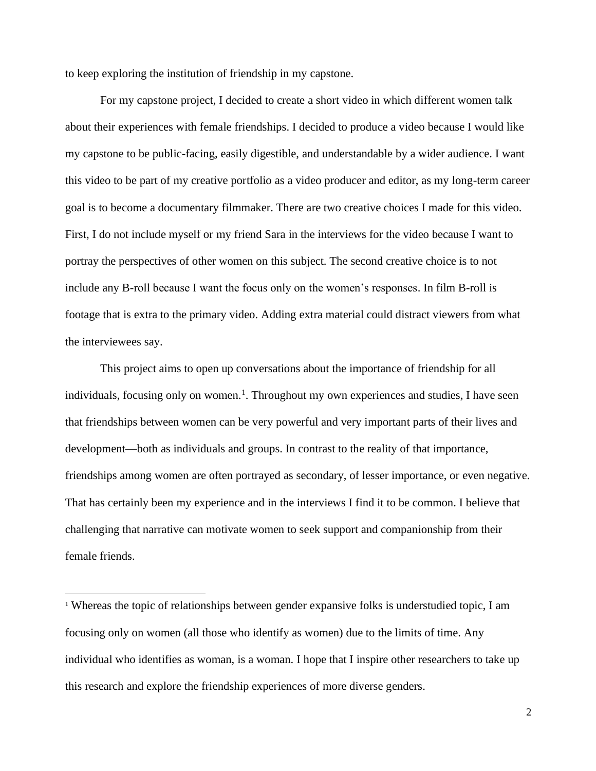to keep exploring the institution of friendship in my capstone.

For my capstone project, I decided to create a short video in which different women talk about their experiences with female friendships. I decided to produce a video because I would like my capstone to be public-facing, easily digestible, and understandable by a wider audience. I want this video to be part of my creative portfolio as a video producer and editor, as my long-term career goal is to become a documentary filmmaker. There are two creative choices I made for this video. First, I do not include myself or my friend Sara in the interviews for the video because I want to portray the perspectives of other women on this subject. The second creative choice is to not include any B-roll because I want the focus only on the women's responses. In film B-roll is footage that is extra to the primary video. Adding extra material could distract viewers from what the interviewees say.

This project aims to open up conversations about the importance of friendship for all individuals, focusing only on women.<sup>1</sup>. Throughout my own experiences and studies, I have seen that friendships between women can be very powerful and very important parts of their lives and development—both as individuals and groups. In contrast to the reality of that importance, friendships among women are often portrayed as secondary, of lesser importance, or even negative. That has certainly been my experience and in the interviews I find it to be common. I believe that challenging that narrative can motivate women to seek support and companionship from their female friends.

<sup>&</sup>lt;sup>1</sup> Whereas the topic of relationships between gender expansive folks is understudied topic, I am focusing only on women (all those who identify as women) due to the limits of time. Any individual who identifies as woman, is a woman. I hope that I inspire other researchers to take up this research and explore the friendship experiences of more diverse genders.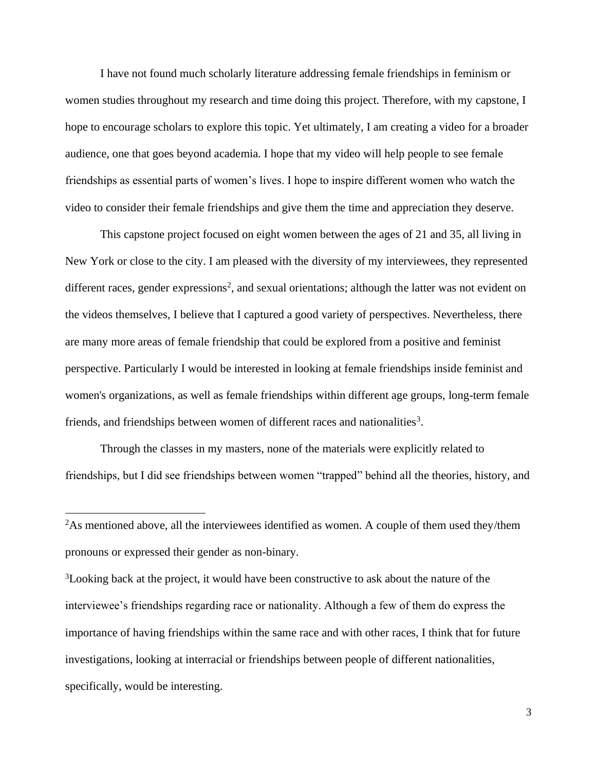I have not found much scholarly literature addressing female friendships in feminism or women studies throughout my research and time doing this project. Therefore, with my capstone, I hope to encourage scholars to explore this topic. Yet ultimately, I am creating a video for a broader audience, one that goes beyond academia. I hope that my video will help people to see female friendships as essential parts of women's lives. I hope to inspire different women who watch the video to consider their female friendships and give them the time and appreciation they deserve.

This capstone project focused on eight women between the ages of 21 and 35, all living in New York or close to the city. I am pleased with the diversity of my interviewees, they represented different races, gender expressions<sup>2</sup>, and sexual orientations; although the latter was not evident on the videos themselves, I believe that I captured a good variety of perspectives. Nevertheless, there are many more areas of female friendship that could be explored from a positive and feminist perspective. Particularly I would be interested in looking at female friendships inside feminist and women's organizations, as well as female friendships within different age groups, long-term female friends, and friendships between women of different races and nationalities<sup>3</sup>.

Through the classes in my masters, none of the materials were explicitly related to friendships, but I did see friendships between women "trapped" behind all the theories, history, and

<sup>&</sup>lt;sup>2</sup>As mentioned above, all the interviewees identified as women. A couple of them used they/them pronouns or expressed their gender as non-binary.

<sup>&</sup>lt;sup>3</sup>Looking back at the project, it would have been constructive to ask about the nature of the interviewee's friendships regarding race or nationality. Although a few of them do express the importance of having friendships within the same race and with other races, I think that for future investigations, looking at interracial or friendships between people of different nationalities, specifically, would be interesting.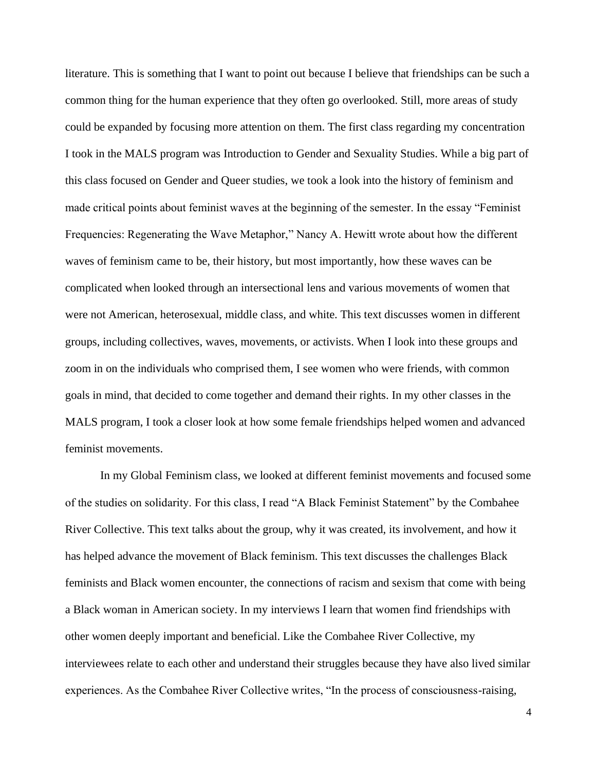literature. This is something that I want to point out because I believe that friendships can be such a common thing for the human experience that they often go overlooked. Still, more areas of study could be expanded by focusing more attention on them. The first class regarding my concentration I took in the MALS program was Introduction to Gender and Sexuality Studies. While a big part of this class focused on Gender and Queer studies, we took a look into the history of feminism and made critical points about feminist waves at the beginning of the semester. In the essay "Feminist Frequencies: Regenerating the Wave Metaphor," Nancy A. Hewitt wrote about how the different waves of feminism came to be, their history, but most importantly, how these waves can be complicated when looked through an intersectional lens and various movements of women that were not American, heterosexual, middle class, and white. This text discusses women in different groups, including collectives, waves, movements, or activists. When I look into these groups and zoom in on the individuals who comprised them, I see women who were friends, with common goals in mind, that decided to come together and demand their rights. In my other classes in the MALS program, I took a closer look at how some female friendships helped women and advanced feminist movements.

 In my Global Feminism class, we looked at different feminist movements and focused some of the studies on solidarity. For this class, I read "A Black Feminist Statement" by the Combahee River Collective. This text talks about the group, why it was created, its involvement, and how it has helped advance the movement of Black feminism. This text discusses the challenges Black feminists and Black women encounter, the connections of racism and sexism that come with being a Black woman in American society. In my interviews I learn that women find friendships with other women deeply important and beneficial. Like the Combahee River Collective, my interviewees relate to each other and understand their struggles because they have also lived similar experiences. As the Combahee River Collective writes, "In the process of consciousness-raising,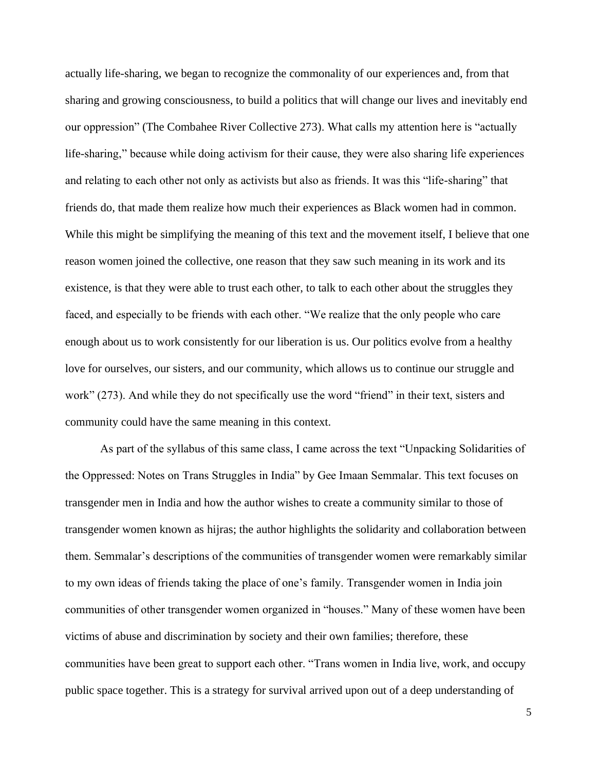actually life-sharing, we began to recognize the commonality of our experiences and, from that sharing and growing consciousness, to build a politics that will change our lives and inevitably end our oppression" (The Combahee River Collective 273). What calls my attention here is "actually life-sharing," because while doing activism for their cause, they were also sharing life experiences and relating to each other not only as activists but also as friends. It was this "life-sharing" that friends do, that made them realize how much their experiences as Black women had in common. While this might be simplifying the meaning of this text and the movement itself, I believe that one reason women joined the collective, one reason that they saw such meaning in its work and its existence, is that they were able to trust each other, to talk to each other about the struggles they faced, and especially to be friends with each other. "We realize that the only people who care enough about us to work consistently for our liberation is us. Our politics evolve from a healthy love for ourselves, our sisters, and our community, which allows us to continue our struggle and work" (273). And while they do not specifically use the word "friend" in their text, sisters and community could have the same meaning in this context.

 As part of the syllabus of this same class, I came across the text "Unpacking Solidarities of the Oppressed: Notes on Trans Struggles in India" by Gee Imaan Semmalar. This text focuses on transgender men in India and how the author wishes to create a community similar to those of transgender women known as hijras; the author highlights the solidarity and collaboration between them. Semmalar's descriptions of the communities of transgender women were remarkably similar to my own ideas of friends taking the place of one's family. Transgender women in India join communities of other transgender women organized in "houses." Many of these women have been victims of abuse and discrimination by society and their own families; therefore, these communities have been great to support each other. "Trans women in India live, work, and occupy public space together. This is a strategy for survival arrived upon out of a deep understanding of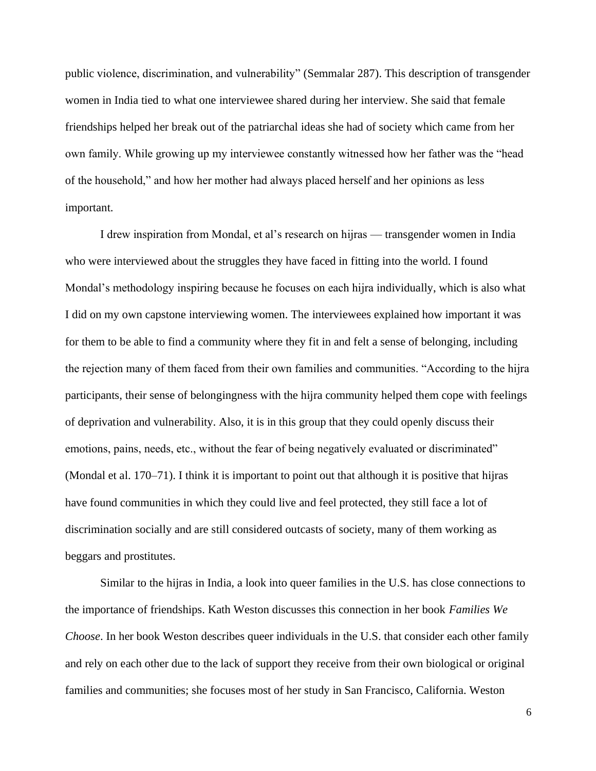public violence, discrimination, and vulnerability" (Semmalar 287). This description of transgender women in India tied to what one interviewee shared during her interview. She said that female friendships helped her break out of the patriarchal ideas she had of society which came from her own family. While growing up my interviewee constantly witnessed how her father was the "head of the household," and how her mother had always placed herself and her opinions as less important.

I drew inspiration from Mondal, et al's research on hijras — transgender women in India who were interviewed about the struggles they have faced in fitting into the world. I found Mondal's methodology inspiring because he focuses on each hijra individually, which is also what I did on my own capstone interviewing women. The interviewees explained how important it was for them to be able to find a community where they fit in and felt a sense of belonging, including the rejection many of them faced from their own families and communities. "According to the hijra participants, their sense of belongingness with the hijra community helped them cope with feelings of deprivation and vulnerability. Also, it is in this group that they could openly discuss their emotions, pains, needs, etc., without the fear of being negatively evaluated or discriminated" (Mondal et al. 170–71). I think it is important to point out that although it is positive that hijras have found communities in which they could live and feel protected, they still face a lot of discrimination socially and are still considered outcasts of society, many of them working as beggars and prostitutes.

 Similar to the hijras in India, a look into queer families in the U.S. has close connections to the importance of friendships. Kath Weston discusses this connection in her book *Families We Choose*. In her book Weston describes queer individuals in the U.S. that consider each other family and rely on each other due to the lack of support they receive from their own biological or original families and communities; she focuses most of her study in San Francisco, California. Weston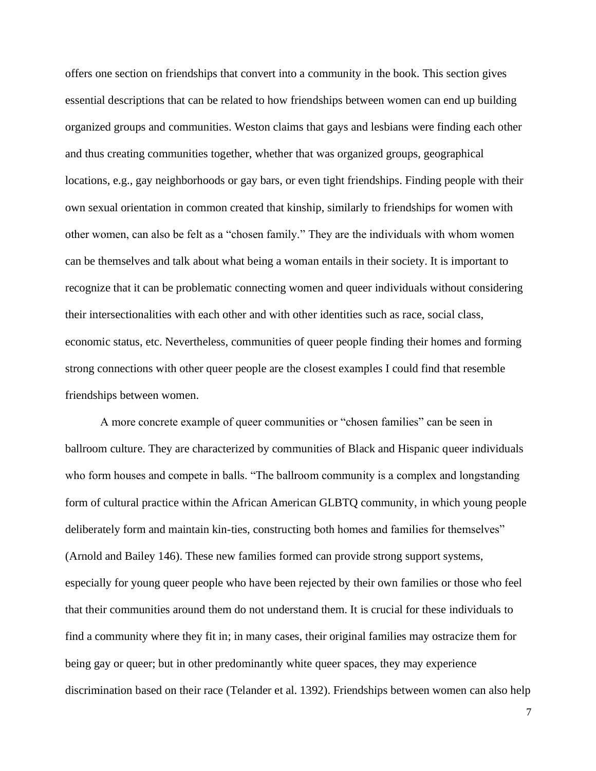offers one section on friendships that convert into a community in the book. This section gives essential descriptions that can be related to how friendships between women can end up building organized groups and communities. Weston claims that gays and lesbians were finding each other and thus creating communities together, whether that was organized groups, geographical locations, e.g., gay neighborhoods or gay bars, or even tight friendships. Finding people with their own sexual orientation in common created that kinship, similarly to friendships for women with other women, can also be felt as a "chosen family." They are the individuals with whom women can be themselves and talk about what being a woman entails in their society. It is important to recognize that it can be problematic connecting women and queer individuals without considering their intersectionalities with each other and with other identities such as race, social class, economic status, etc. Nevertheless, communities of queer people finding their homes and forming strong connections with other queer people are the closest examples I could find that resemble friendships between women.

 A more concrete example of queer communities or "chosen families" can be seen in ballroom culture. They are characterized by communities of Black and Hispanic queer individuals who form houses and compete in balls. "The ballroom community is a complex and longstanding form of cultural practice within the African American GLBTQ community, in which young people deliberately form and maintain kin-ties, constructing both homes and families for themselves" (Arnold and Bailey 146). These new families formed can provide strong support systems, especially for young queer people who have been rejected by their own families or those who feel that their communities around them do not understand them. It is crucial for these individuals to find a community where they fit in; in many cases, their original families may ostracize them for being gay or queer; but in other predominantly white queer spaces, they may experience discrimination based on their race (Telander et al. 1392). Friendships between women can also help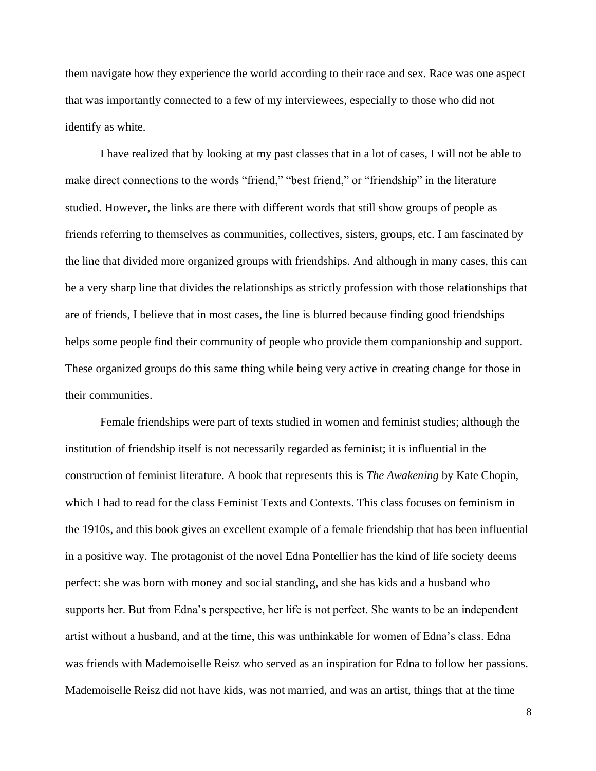them navigate how they experience the world according to their race and sex. Race was one aspect that was importantly connected to a few of my interviewees, especially to those who did not identify as white.

I have realized that by looking at my past classes that in a lot of cases, I will not be able to make direct connections to the words "friend," "best friend," or "friendship" in the literature studied. However, the links are there with different words that still show groups of people as friends referring to themselves as communities, collectives, sisters, groups, etc. I am fascinated by the line that divided more organized groups with friendships. And although in many cases, this can be a very sharp line that divides the relationships as strictly profession with those relationships that are of friends, I believe that in most cases, the line is blurred because finding good friendships helps some people find their community of people who provide them companionship and support. These organized groups do this same thing while being very active in creating change for those in their communities.

 Female friendships were part of texts studied in women and feminist studies; although the institution of friendship itself is not necessarily regarded as feminist; it is influential in the construction of feminist literature. A book that represents this is *The Awakening* by Kate Chopin, which I had to read for the class Feminist Texts and Contexts. This class focuses on feminism in the 1910s, and this book gives an excellent example of a female friendship that has been influential in a positive way. The protagonist of the novel Edna Pontellier has the kind of life society deems perfect: she was born with money and social standing, and she has kids and a husband who supports her. But from Edna's perspective, her life is not perfect. She wants to be an independent artist without a husband, and at the time, this was unthinkable for women of Edna's class. Edna was friends with Mademoiselle Reisz who served as an inspiration for Edna to follow her passions. Mademoiselle Reisz did not have kids, was not married, and was an artist, things that at the time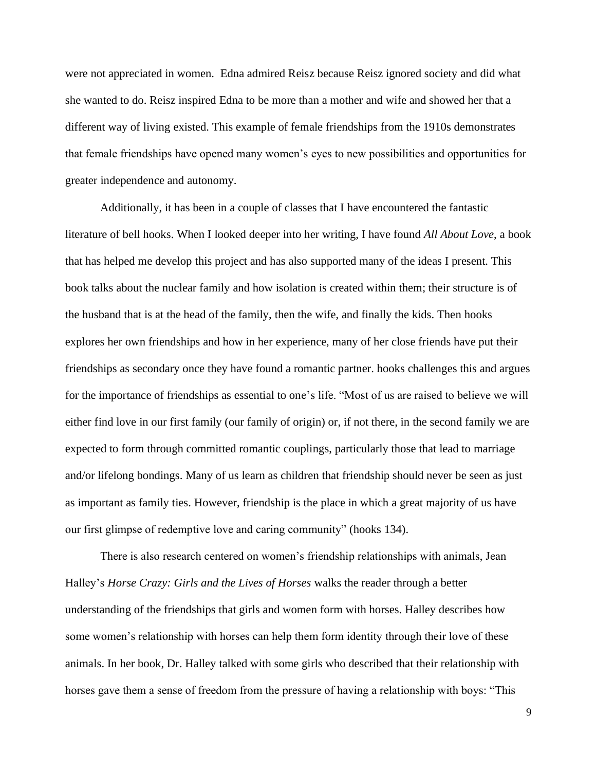were not appreciated in women. Edna admired Reisz because Reisz ignored society and did what she wanted to do. Reisz inspired Edna to be more than a mother and wife and showed her that a different way of living existed. This example of female friendships from the 1910s demonstrates that female friendships have opened many women's eyes to new possibilities and opportunities for greater independence and autonomy.

Additionally, it has been in a couple of classes that I have encountered the fantastic literature of bell hooks. When I looked deeper into her writing, I have found *All About Love*, a book that has helped me develop this project and has also supported many of the ideas I present. This book talks about the nuclear family and how isolation is created within them; their structure is of the husband that is at the head of the family, then the wife, and finally the kids. Then hooks explores her own friendships and how in her experience, many of her close friends have put their friendships as secondary once they have found a romantic partner. hooks challenges this and argues for the importance of friendships as essential to one's life. "Most of us are raised to believe we will either find love in our first family (our family of origin) or, if not there, in the second family we are expected to form through committed romantic couplings, particularly those that lead to marriage and/or lifelong bondings. Many of us learn as children that friendship should never be seen as just as important as family ties. However, friendship is the place in which a great majority of us have our first glimpse of redemptive love and caring community" (hooks 134).

There is also research centered on women's friendship relationships with animals, Jean Halley's *Horse Crazy: Girls and the Lives of Horses* walks the reader through a better understanding of the friendships that girls and women form with horses. Halley describes how some women's relationship with horses can help them form identity through their love of these animals. In her book, Dr. Halley talked with some girls who described that their relationship with horses gave them a sense of freedom from the pressure of having a relationship with boys: "This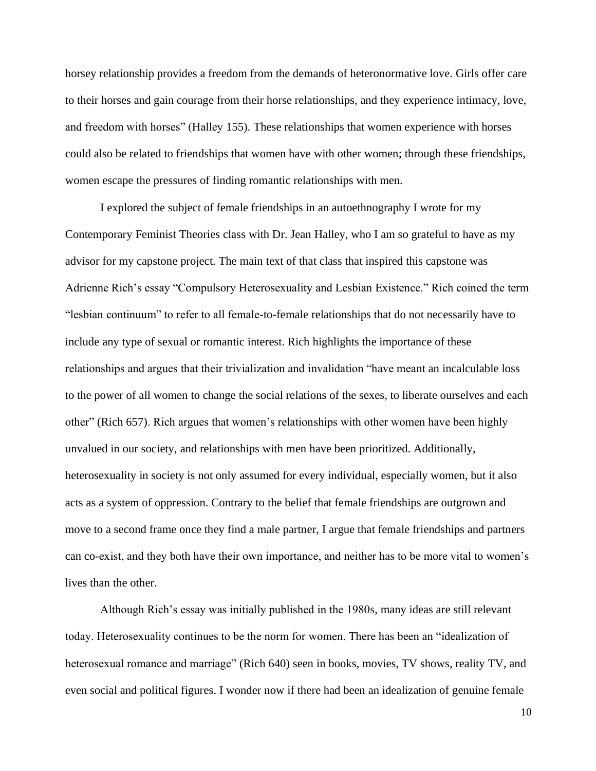horsey relationship provides a freedom from the demands of heteronormative love. Girls offer care to their horses and gain courage from their horse relationships, and they experience intimacy, love, and freedom with horses" (Halley 155). These relationships that women experience with horses could also be related to friendships that women have with other women; through these friendships, women escape the pressures of finding romantic relationships with men.

I explored the subject of female friendships in an autoethnography I wrote for my Contemporary Feminist Theories class with Dr. Jean Halley, who I am so grateful to have as my advisor for my capstone project. The main text of that class that inspired this capstone was Adrienne Rich's essay "Compulsory Heterosexuality and Lesbian Existence." Rich coined the term "lesbian continuum" to refer to all female-to-female relationships that do not necessarily have to include any type of sexual or romantic interest. Rich highlights the importance of these relationships and argues that their trivialization and invalidation "have meant an incalculable loss to the power of all women to change the social relations of the sexes, to liberate ourselves and each other" (Rich 657). Rich argues that women's relationships with other women have been highly unvalued in our society, and relationships with men have been prioritized. Additionally, heterosexuality in society is not only assumed for every individual, especially women, but it also acts as a system of oppression. Contrary to the belief that female friendships are outgrown and move to a second frame once they find a male partner, I argue that female friendships and partners can co-exist, and they both have their own importance, and neither has to be more vital to women's lives than the other.

Although Rich's essay was initially published in the 1980s, many ideas are still relevant today. Heterosexuality continues to be the norm for women. There has been an "idealization of heterosexual romance and marriage" (Rich 640) seen in books, movies, TV shows, reality TV, and even social and political figures. I wonder now if there had been an idealization of genuine female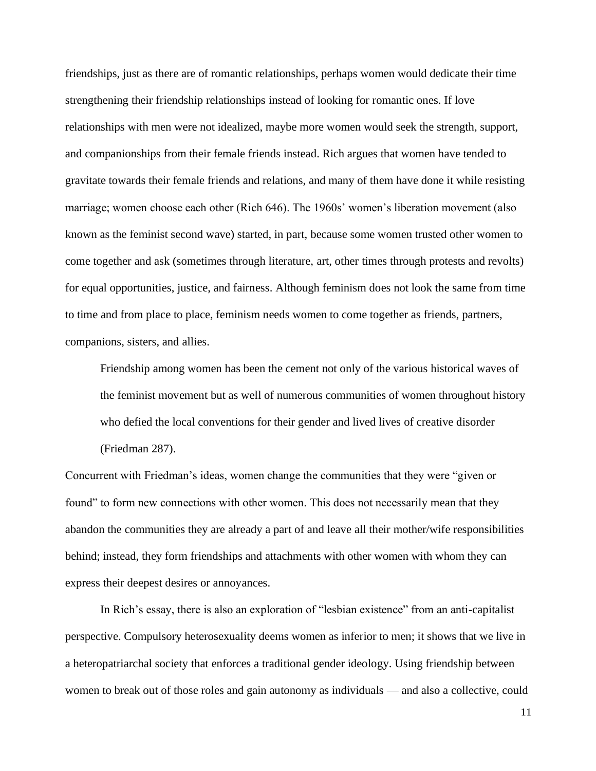friendships, just as there are of romantic relationships, perhaps women would dedicate their time strengthening their friendship relationships instead of looking for romantic ones. If love relationships with men were not idealized, maybe more women would seek the strength, support, and companionships from their female friends instead. Rich argues that women have tended to gravitate towards their female friends and relations, and many of them have done it while resisting marriage; women choose each other (Rich 646). The 1960s' women's liberation movement (also known as the feminist second wave) started, in part, because some women trusted other women to come together and ask (sometimes through literature, art, other times through protests and revolts) for equal opportunities, justice, and fairness. Although feminism does not look the same from time to time and from place to place, feminism needs women to come together as friends, partners, companions, sisters, and allies.

Friendship among women has been the cement not only of the various historical waves of the feminist movement but as well of numerous communities of women throughout history who defied the local conventions for their gender and lived lives of creative disorder (Friedman 287).

Concurrent with Friedman's ideas, women change the communities that they were "given or found" to form new connections with other women. This does not necessarily mean that they abandon the communities they are already a part of and leave all their mother/wife responsibilities behind; instead, they form friendships and attachments with other women with whom they can express their deepest desires or annoyances.

In Rich's essay, there is also an exploration of "lesbian existence" from an anti-capitalist perspective. Compulsory heterosexuality deems women as inferior to men; it shows that we live in a heteropatriarchal society that enforces a traditional gender ideology. Using friendship between women to break out of those roles and gain autonomy as individuals — and also a collective, could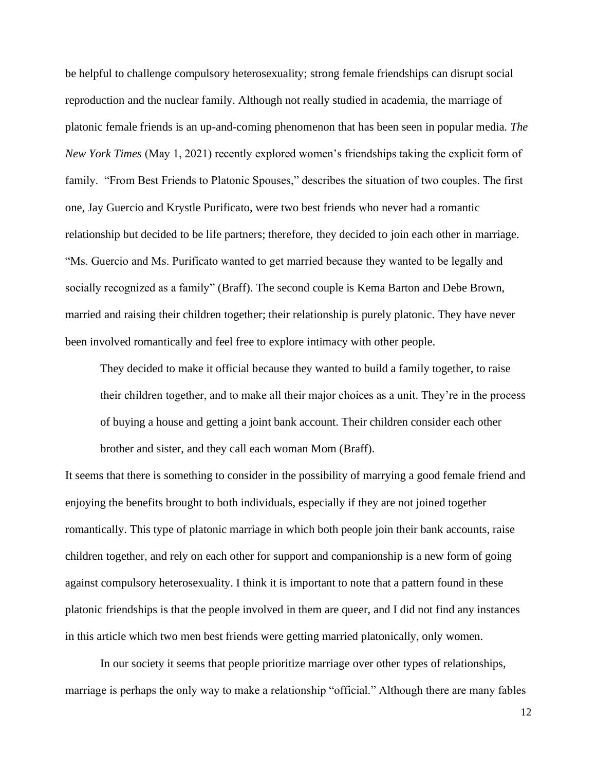be helpful to challenge compulsory heterosexuality; strong female friendships can disrupt social reproduction and the nuclear family. Although not really studied in academia, the marriage of platonic female friends is an up-and-coming phenomenon that has been seen in popular media. *The New York Times* (May 1, 2021) recently explored women's friendships taking the explicit form of family. "From Best Friends to Platonic Spouses," describes the situation of two couples. The first one, Jay Guercio and Krystle Purificato, were two best friends who never had a romantic relationship but decided to be life partners; therefore, they decided to join each other in marriage. "Ms. Guercio and Ms. Purificato wanted to get married because they wanted to be legally and socially recognized as a family" (Braff). The second couple is Kema Barton and Debe Brown, married and raising their children together; their relationship is purely platonic. They have never been involved romantically and feel free to explore intimacy with other people.

They decided to make it official because they wanted to build a family together, to raise their children together, and to make all their major choices as a unit. They're in the process of buying a house and getting a joint bank account. Their children consider each other brother and sister, and they call each woman Mom (Braff).

It seems that there is something to consider in the possibility of marrying a good female friend and enjoying the benefits brought to both individuals, especially if they are not joined together romantically. This type of platonic marriage in which both people join their bank accounts, raise children together, and rely on each other for support and companionship is a new form of going against compulsory heterosexuality. I think it is important to note that a pattern found in these platonic friendships is that the people involved in them are queer, and I did not find any instances in this article which two men best friends were getting married platonically, only women.

In our society it seems that people prioritize marriage over other types of relationships, marriage is perhaps the only way to make a relationship "official." Although there are many fables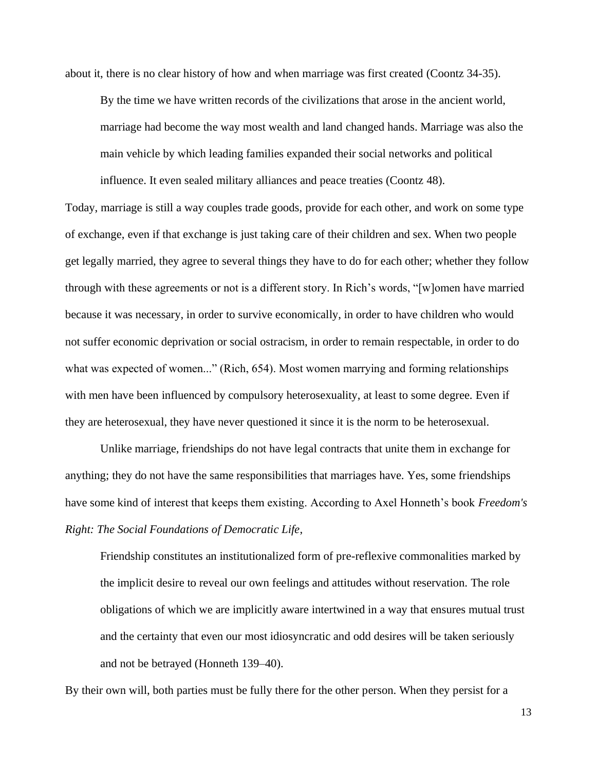about it, there is no clear history of how and when marriage was first created (Coontz 34-35).

By the time we have written records of the civilizations that arose in the ancient world, marriage had become the way most wealth and land changed hands. Marriage was also the main vehicle by which leading families expanded their social networks and political influence. It even sealed military alliances and peace treaties (Coontz 48).

Today, marriage is still a way couples trade goods, provide for each other, and work on some type of exchange, even if that exchange is just taking care of their children and sex. When two people get legally married, they agree to several things they have to do for each other; whether they follow through with these agreements or not is a different story. In Rich's words, "[w]omen have married because it was necessary, in order to survive economically, in order to have children who would not suffer economic deprivation or social ostracism, in order to remain respectable, in order to do what was expected of women..." (Rich, 654). Most women marrying and forming relationships with men have been influenced by compulsory heterosexuality, at least to some degree. Even if they are heterosexual, they have never questioned it since it is the norm to be heterosexual.

Unlike marriage, friendships do not have legal contracts that unite them in exchange for anything; they do not have the same responsibilities that marriages have. Yes, some friendships have some kind of interest that keeps them existing. According to Axel Honneth's book *Freedom's Right: The Social Foundations of Democratic Life*,

Friendship constitutes an institutionalized form of pre-reflexive commonalities marked by the implicit desire to reveal our own feelings and attitudes without reservation. The role obligations of which we are implicitly aware intertwined in a way that ensures mutual trust and the certainty that even our most idiosyncratic and odd desires will be taken seriously and not be betrayed (Honneth 139–40).

By their own will, both parties must be fully there for the other person. When they persist for a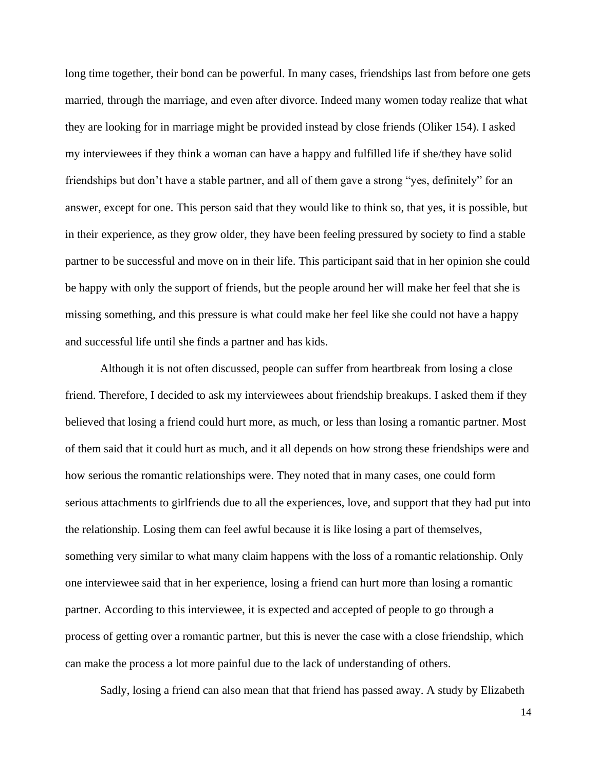long time together, their bond can be powerful. In many cases, friendships last from before one gets married, through the marriage, and even after divorce. Indeed many women today realize that what they are looking for in marriage might be provided instead by close friends (Oliker 154). I asked my interviewees if they think a woman can have a happy and fulfilled life if she/they have solid friendships but don't have a stable partner, and all of them gave a strong "yes, definitely" for an answer, except for one. This person said that they would like to think so, that yes, it is possible, but in their experience, as they grow older, they have been feeling pressured by society to find a stable partner to be successful and move on in their life. This participant said that in her opinion she could be happy with only the support of friends, but the people around her will make her feel that she is missing something, and this pressure is what could make her feel like she could not have a happy and successful life until she finds a partner and has kids.

Although it is not often discussed, people can suffer from heartbreak from losing a close friend. Therefore, I decided to ask my interviewees about friendship breakups. I asked them if they believed that losing a friend could hurt more, as much, or less than losing a romantic partner. Most of them said that it could hurt as much, and it all depends on how strong these friendships were and how serious the romantic relationships were. They noted that in many cases, one could form serious attachments to girlfriends due to all the experiences, love, and support that they had put into the relationship. Losing them can feel awful because it is like losing a part of themselves, something very similar to what many claim happens with the loss of a romantic relationship. Only one interviewee said that in her experience, losing a friend can hurt more than losing a romantic partner. According to this interviewee, it is expected and accepted of people to go through a process of getting over a romantic partner, but this is never the case with a close friendship, which can make the process a lot more painful due to the lack of understanding of others.

Sadly, losing a friend can also mean that that friend has passed away. A study by Elizabeth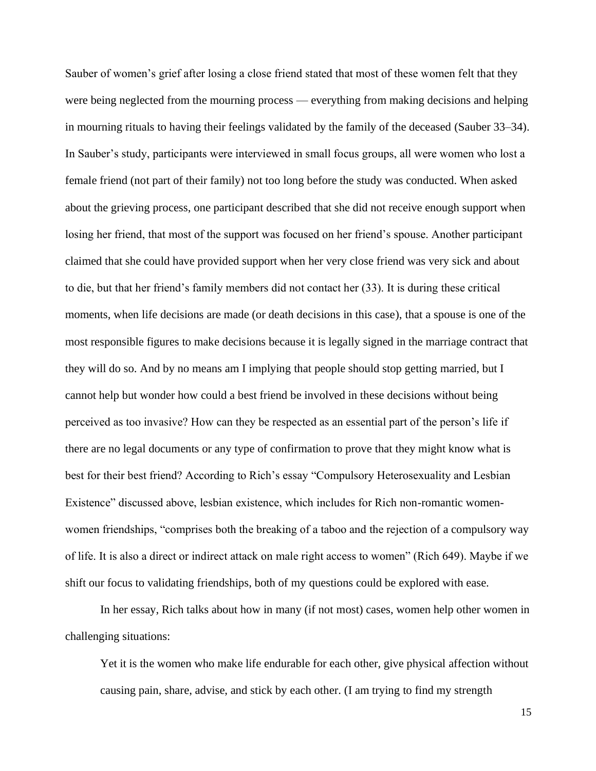Sauber of women's grief after losing a close friend stated that most of these women felt that they were being neglected from the mourning process — everything from making decisions and helping in mourning rituals to having their feelings validated by the family of the deceased (Sauber 33–34). In Sauber's study, participants were interviewed in small focus groups, all were women who lost a female friend (not part of their family) not too long before the study was conducted. When asked about the grieving process, one participant described that she did not receive enough support when losing her friend, that most of the support was focused on her friend's spouse. Another participant claimed that she could have provided support when her very close friend was very sick and about to die, but that her friend's family members did not contact her (33). It is during these critical moments, when life decisions are made (or death decisions in this case), that a spouse is one of the most responsible figures to make decisions because it is legally signed in the marriage contract that they will do so. And by no means am I implying that people should stop getting married, but I cannot help but wonder how could a best friend be involved in these decisions without being perceived as too invasive? How can they be respected as an essential part of the person's life if there are no legal documents or any type of confirmation to prove that they might know what is best for their best friend? According to Rich's essay "Compulsory Heterosexuality and Lesbian Existence" discussed above, lesbian existence, which includes for Rich non-romantic womenwomen friendships, "comprises both the breaking of a taboo and the rejection of a compulsory way of life. It is also a direct or indirect attack on male right access to women" (Rich 649). Maybe if we shift our focus to validating friendships, both of my questions could be explored with ease.

In her essay, Rich talks about how in many (if not most) cases, women help other women in challenging situations:

Yet it is the women who make life endurable for each other, give physical affection without causing pain, share, advise, and stick by each other. (I am trying to find my strength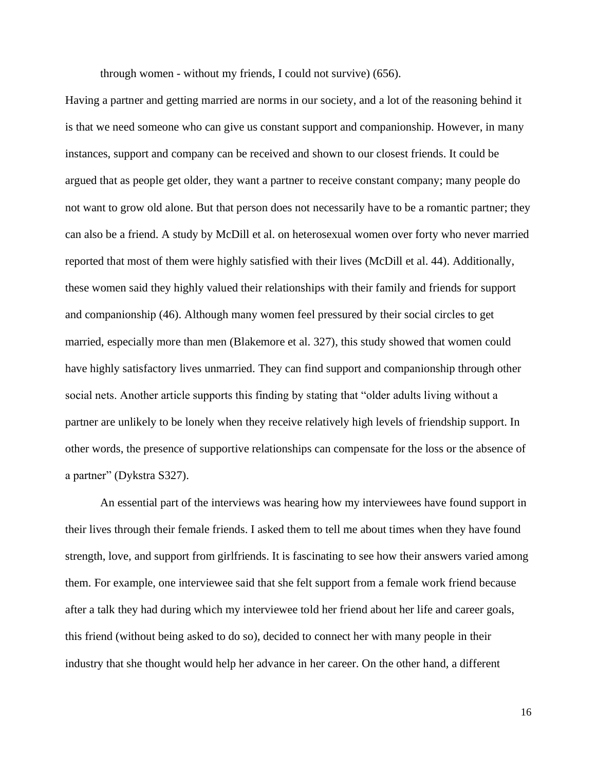through women - without my friends, I could not survive) (656).

Having a partner and getting married are norms in our society, and a lot of the reasoning behind it is that we need someone who can give us constant support and companionship. However, in many instances, support and company can be received and shown to our closest friends. It could be argued that as people get older, they want a partner to receive constant company; many people do not want to grow old alone. But that person does not necessarily have to be a romantic partner; they can also be a friend. A study by McDill et al. on heterosexual women over forty who never married reported that most of them were highly satisfied with their lives (McDill et al. 44). Additionally, these women said they highly valued their relationships with their family and friends for support and companionship (46). Although many women feel pressured by their social circles to get married, especially more than men (Blakemore et al. 327), this study showed that women could have highly satisfactory lives unmarried. They can find support and companionship through other social nets. Another article supports this finding by stating that "older adults living without a partner are unlikely to be lonely when they receive relatively high levels of friendship support. In other words, the presence of supportive relationships can compensate for the loss or the absence of a partner" (Dykstra S327).

 An essential part of the interviews was hearing how my interviewees have found support in their lives through their female friends. I asked them to tell me about times when they have found strength, love, and support from girlfriends. It is fascinating to see how their answers varied among them. For example, one interviewee said that she felt support from a female work friend because after a talk they had during which my interviewee told her friend about her life and career goals, this friend (without being asked to do so), decided to connect her with many people in their industry that she thought would help her advance in her career. On the other hand, a different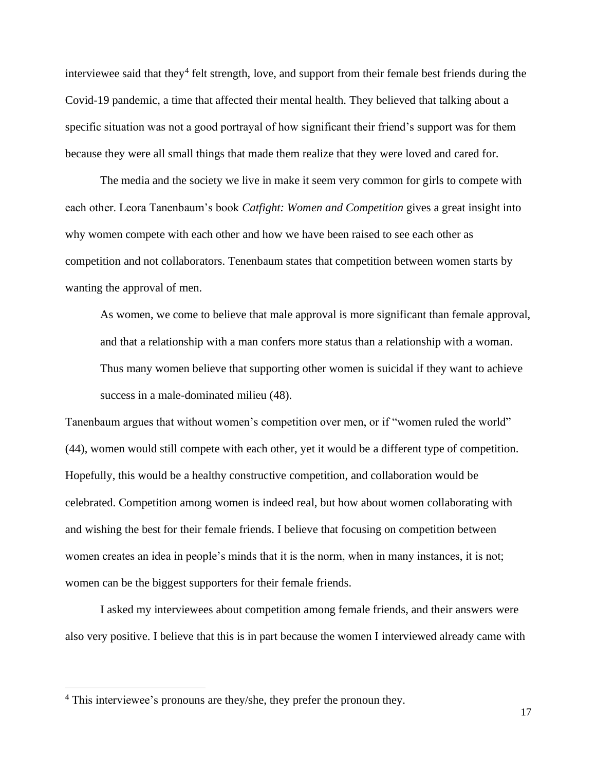interviewee said that they<sup>4</sup> felt strength, love, and support from their female best friends during the Covid-19 pandemic, a time that affected their mental health. They believed that talking about a specific situation was not a good portrayal of how significant their friend's support was for them because they were all small things that made them realize that they were loved and cared for.

The media and the society we live in make it seem very common for girls to compete with each other. Leora Tanenbaum's book *Catfight: Women and Competition* gives a great insight into why women compete with each other and how we have been raised to see each other as competition and not collaborators. Tenenbaum states that competition between women starts by wanting the approval of men.

As women, we come to believe that male approval is more significant than female approval, and that a relationship with a man confers more status than a relationship with a woman. Thus many women believe that supporting other women is suicidal if they want to achieve success in a male-dominated milieu (48).

Tanenbaum argues that without women's competition over men, or if "women ruled the world" (44), women would still compete with each other, yet it would be a different type of competition. Hopefully, this would be a healthy constructive competition, and collaboration would be celebrated. Competition among women is indeed real, but how about women collaborating with and wishing the best for their female friends. I believe that focusing on competition between women creates an idea in people's minds that it is the norm, when in many instances, it is not; women can be the biggest supporters for their female friends.

 I asked my interviewees about competition among female friends, and their answers were also very positive. I believe that this is in part because the women I interviewed already came with

<sup>&</sup>lt;sup>4</sup> This interviewee's pronouns are they/she, they prefer the pronoun they.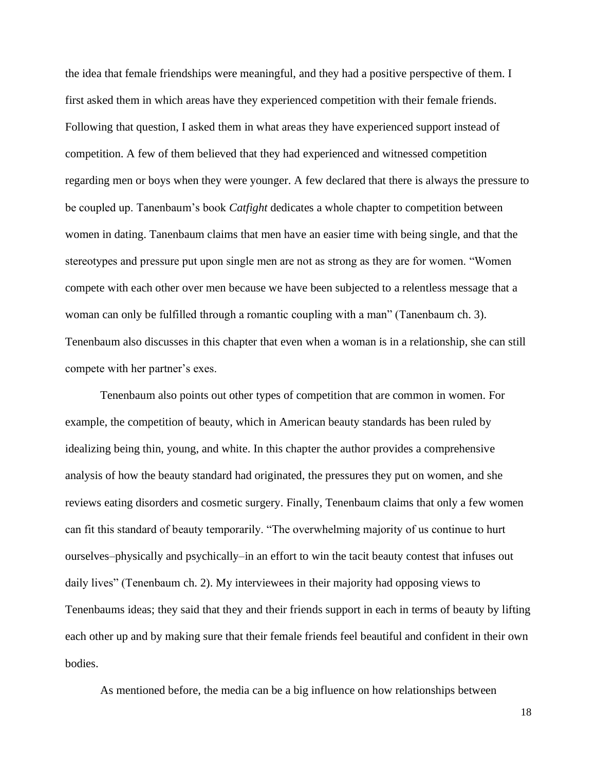the idea that female friendships were meaningful, and they had a positive perspective of them. I first asked them in which areas have they experienced competition with their female friends. Following that question, I asked them in what areas they have experienced support instead of competition. A few of them believed that they had experienced and witnessed competition regarding men or boys when they were younger. A few declared that there is always the pressure to be coupled up. Tanenbaum's book *Catfight* dedicates a whole chapter to competition between women in dating. Tanenbaum claims that men have an easier time with being single, and that the stereotypes and pressure put upon single men are not as strong as they are for women. "Women compete with each other over men because we have been subjected to a relentless message that a woman can only be fulfilled through a romantic coupling with a man" (Tanenbaum ch. 3). Tenenbaum also discusses in this chapter that even when a woman is in a relationship, she can still compete with her partner's exes.

Tenenbaum also points out other types of competition that are common in women. For example, the competition of beauty, which in American beauty standards has been ruled by idealizing being thin, young, and white. In this chapter the author provides a comprehensive analysis of how the beauty standard had originated, the pressures they put on women, and she reviews eating disorders and cosmetic surgery. Finally, Tenenbaum claims that only a few women can fit this standard of beauty temporarily. "The overwhelming majority of us continue to hurt ourselves–physically and psychically–in an effort to win the tacit beauty contest that infuses out daily lives" (Tenenbaum ch. 2). My interviewees in their majority had opposing views to Tenenbaums ideas; they said that they and their friends support in each in terms of beauty by lifting each other up and by making sure that their female friends feel beautiful and confident in their own bodies.

As mentioned before, the media can be a big influence on how relationships between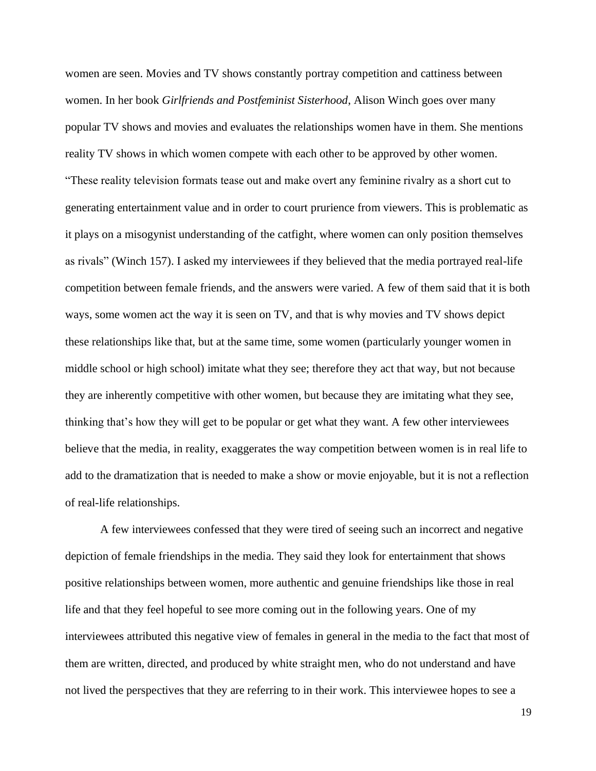women are seen. Movies and TV shows constantly portray competition and cattiness between women. In her book *Girlfriends and Postfeminist Sisterhood*, Alison Winch goes over many popular TV shows and movies and evaluates the relationships women have in them. She mentions reality TV shows in which women compete with each other to be approved by other women. "These reality television formats tease out and make overt any feminine rivalry as a short cut to generating entertainment value and in order to court prurience from viewers. This is problematic as it plays on a misogynist understanding of the catfight, where women can only position themselves as rivals" (Winch 157). I asked my interviewees if they believed that the media portrayed real-life competition between female friends, and the answers were varied. A few of them said that it is both ways, some women act the way it is seen on TV, and that is why movies and TV shows depict these relationships like that, but at the same time, some women (particularly younger women in middle school or high school) imitate what they see; therefore they act that way, but not because they are inherently competitive with other women, but because they are imitating what they see, thinking that's how they will get to be popular or get what they want. A few other interviewees believe that the media, in reality, exaggerates the way competition between women is in real life to add to the dramatization that is needed to make a show or movie enjoyable, but it is not a reflection of real-life relationships.

A few interviewees confessed that they were tired of seeing such an incorrect and negative depiction of female friendships in the media. They said they look for entertainment that shows positive relationships between women, more authentic and genuine friendships like those in real life and that they feel hopeful to see more coming out in the following years. One of my interviewees attributed this negative view of females in general in the media to the fact that most of them are written, directed, and produced by white straight men, who do not understand and have not lived the perspectives that they are referring to in their work. This interviewee hopes to see a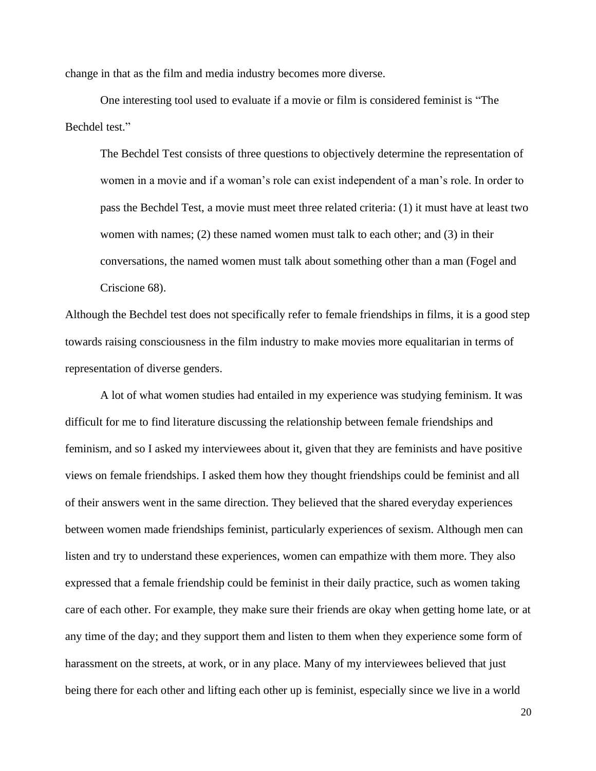change in that as the film and media industry becomes more diverse.

One interesting tool used to evaluate if a movie or film is considered feminist is "The Bechdel test."

The Bechdel Test consists of three questions to objectively determine the representation of women in a movie and if a woman's role can exist independent of a man's role. In order to pass the Bechdel Test, a movie must meet three related criteria: (1) it must have at least two women with names;  $(2)$  these named women must talk to each other; and  $(3)$  in their conversations, the named women must talk about something other than a man (Fogel and Criscione 68).

Although the Bechdel test does not specifically refer to female friendships in films, it is a good step towards raising consciousness in the film industry to make movies more equalitarian in terms of representation of diverse genders.

 A lot of what women studies had entailed in my experience was studying feminism. It was difficult for me to find literature discussing the relationship between female friendships and feminism, and so I asked my interviewees about it, given that they are feminists and have positive views on female friendships. I asked them how they thought friendships could be feminist and all of their answers went in the same direction. They believed that the shared everyday experiences between women made friendships feminist, particularly experiences of sexism. Although men can listen and try to understand these experiences, women can empathize with them more. They also expressed that a female friendship could be feminist in their daily practice, such as women taking care of each other. For example, they make sure their friends are okay when getting home late, or at any time of the day; and they support them and listen to them when they experience some form of harassment on the streets, at work, or in any place. Many of my interviewees believed that just being there for each other and lifting each other up is feminist, especially since we live in a world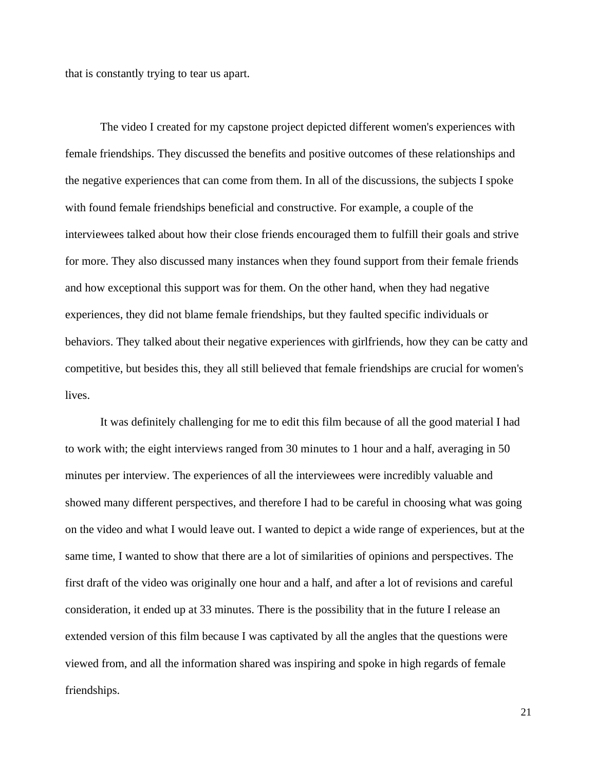that is constantly trying to tear us apart.

The video I created for my capstone project depicted different women's experiences with female friendships. They discussed the benefits and positive outcomes of these relationships and the negative experiences that can come from them. In all of the discussions, the subjects I spoke with found female friendships beneficial and constructive. For example, a couple of the interviewees talked about how their close friends encouraged them to fulfill their goals and strive for more. They also discussed many instances when they found support from their female friends and how exceptional this support was for them. On the other hand, when they had negative experiences, they did not blame female friendships, but they faulted specific individuals or behaviors. They talked about their negative experiences with girlfriends, how they can be catty and competitive, but besides this, they all still believed that female friendships are crucial for women's lives.

It was definitely challenging for me to edit this film because of all the good material I had to work with; the eight interviews ranged from 30 minutes to 1 hour and a half, averaging in 50 minutes per interview. The experiences of all the interviewees were incredibly valuable and showed many different perspectives, and therefore I had to be careful in choosing what was going on the video and what I would leave out. I wanted to depict a wide range of experiences, but at the same time, I wanted to show that there are a lot of similarities of opinions and perspectives. The first draft of the video was originally one hour and a half, and after a lot of revisions and careful consideration, it ended up at 33 minutes. There is the possibility that in the future I release an extended version of this film because I was captivated by all the angles that the questions were viewed from, and all the information shared was inspiring and spoke in high regards of female friendships.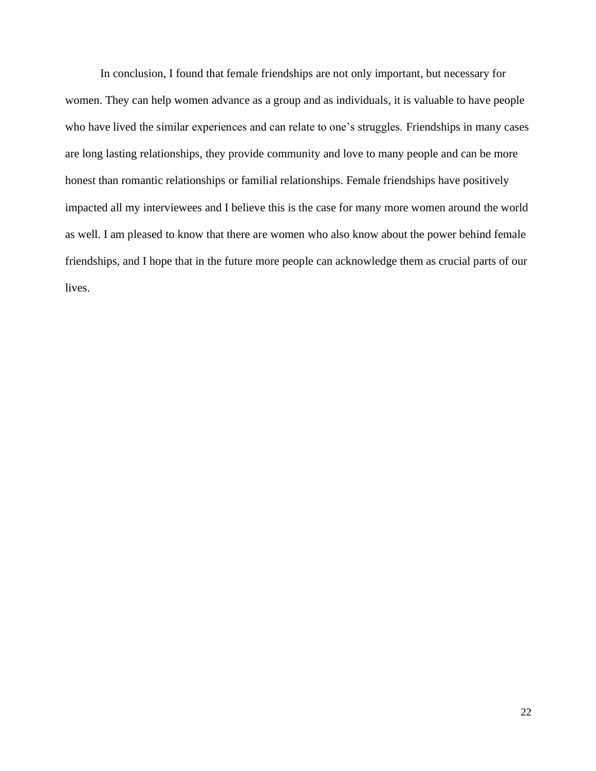In conclusion, I found that female friendships are not only important, but necessary for women. They can help women advance as a group and as individuals, it is valuable to have people who have lived the similar experiences and can relate to one's struggles. Friendships in many cases are long lasting relationships, they provide community and love to many people and can be more honest than romantic relationships or familial relationships. Female friendships have positively impacted all my interviewees and I believe this is the case for many more women around the world as well. I am pleased to know that there are women who also know about the power behind female friendships, and I hope that in the future more people can acknowledge them as crucial parts of our lives.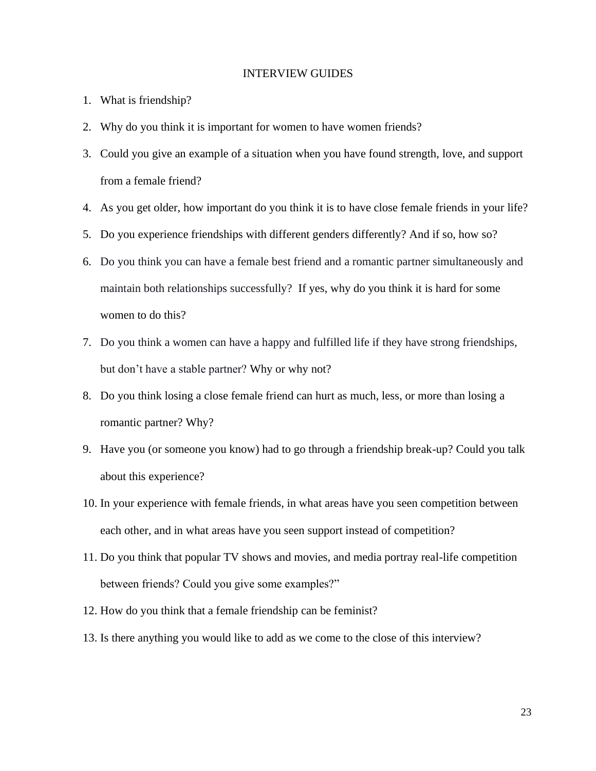#### INTERVIEW GUIDES

- 1. What is friendship?
- 2. Why do you think it is important for women to have women friends?
- 3. Could you give an example of a situation when you have found strength, love, and support from a female friend?
- 4. As you get older, how important do you think it is to have close female friends in your life?
- 5. Do you experience friendships with different genders differently? And if so, how so?
- 6. Do you think you can have a female best friend and a romantic partner simultaneously and maintain both relationships successfully? If yes, why do you think it is hard for some women to do this?
- 7. Do you think a women can have a happy and fulfilled life if they have strong friendships, but don't have a stable partner? Why or why not?
- 8. Do you think losing a close female friend can hurt as much, less, or more than losing a romantic partner? Why?
- 9. Have you (or someone you know) had to go through a friendship break-up? Could you talk about this experience?
- 10. In your experience with female friends, in what areas have you seen competition between each other, and in what areas have you seen support instead of competition?
- 11. Do you think that popular TV shows and movies, and media portray real-life competition between friends? Could you give some examples?"
- 12. How do you think that a female friendship can be feminist?
- 13. Is there anything you would like to add as we come to the close of this interview?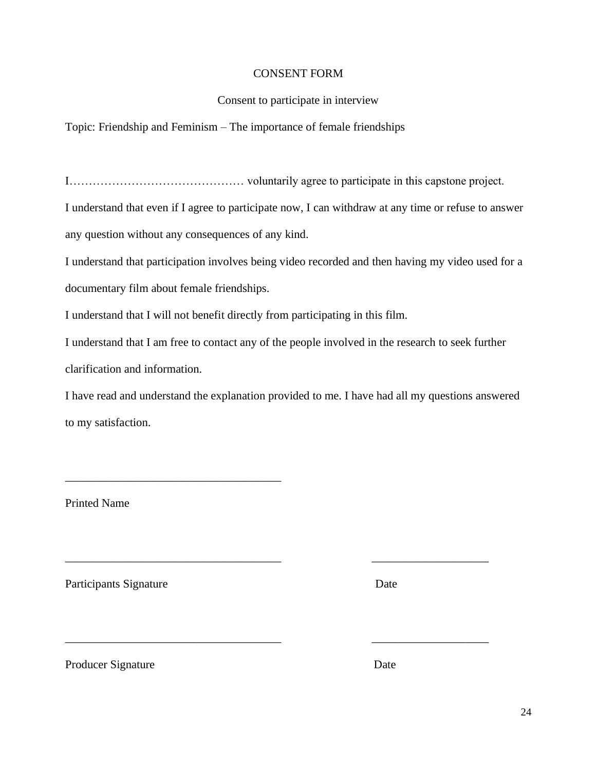## CONSENT FORM

## Consent to participate in interview

Topic: Friendship and Feminism – The importance of female friendships

I……………………………………… voluntarily agree to participate in this capstone project.

I understand that even if I agree to participate now, I can withdraw at any time or refuse to answer any question without any consequences of any kind.

I understand that participation involves being video recorded and then having my video used for a

documentary film about female friendships.

\_\_\_\_\_\_\_\_\_\_\_\_\_\_\_\_\_\_\_\_\_\_\_\_\_\_\_\_\_\_\_\_\_\_\_\_\_

I understand that I will not benefit directly from participating in this film.

I understand that I am free to contact any of the people involved in the research to seek further clarification and information.

I have read and understand the explanation provided to me. I have had all my questions answered to my satisfaction.

\_\_\_\_\_\_\_\_\_\_\_\_\_\_\_\_\_\_\_\_\_\_\_\_\_\_\_\_\_\_\_\_\_\_\_\_\_ \_\_\_\_\_\_\_\_\_\_\_\_\_\_\_\_\_\_\_\_

\_\_\_\_\_\_\_\_\_\_\_\_\_\_\_\_\_\_\_\_\_\_\_\_\_\_\_\_\_\_\_\_\_\_\_\_\_ \_\_\_\_\_\_\_\_\_\_\_\_\_\_\_\_\_\_\_\_

Printed Name

Participants Signature Date

Producer Signature Date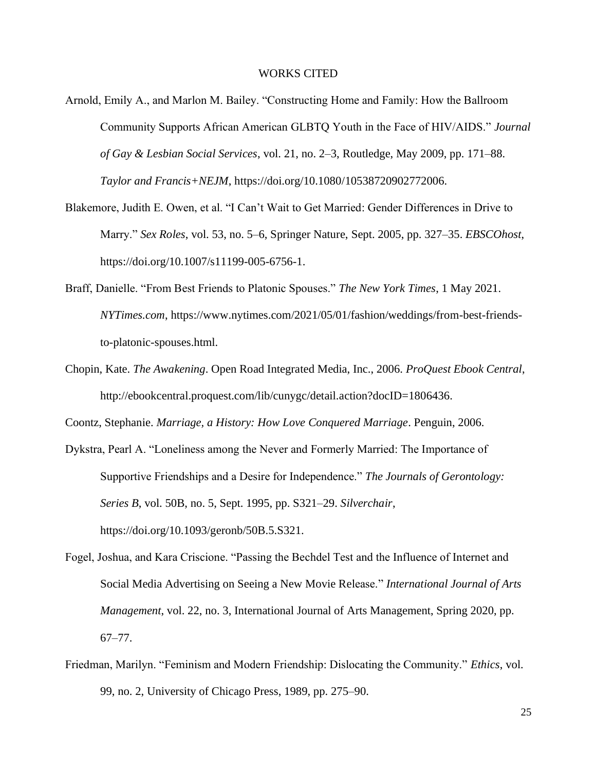#### WORKS CITED

- Arnold, Emily A., and Marlon M. Bailey. "Constructing Home and Family: How the Ballroom Community Supports African American GLBTQ Youth in the Face of HIV/AIDS." *Journal of Gay & Lesbian Social Services*, vol. 21, no. 2–3, Routledge, May 2009, pp. 171–88. *Taylor and Francis+NEJM*, https://doi.org/10.1080/10538720902772006.
- Blakemore, Judith E. Owen, et al. "I Can't Wait to Get Married: Gender Differences in Drive to Marry." *Sex Roles*, vol. 53, no. 5–6, Springer Nature, Sept. 2005, pp. 327–35. *EBSCOhost*, https://doi.org/10.1007/s11199-005-6756-1.
- Braff, Danielle. "From Best Friends to Platonic Spouses." *The New York Times*, 1 May 2021. *NYTimes.com*, https://www.nytimes.com/2021/05/01/fashion/weddings/from-best-friendsto-platonic-spouses.html.
- Chopin, Kate. *The Awakening*. Open Road Integrated Media, Inc., 2006. *ProQuest Ebook Central*, http://ebookcentral.proquest.com/lib/cunygc/detail.action?docID=1806436.

Coontz, Stephanie. *Marriage, a History: How Love Conquered Marriage*. Penguin, 2006.

- Dykstra, Pearl A. "Loneliness among the Never and Formerly Married: The Importance of Supportive Friendships and a Desire for Independence." *The Journals of Gerontology: Series B*, vol. 50B, no. 5, Sept. 1995, pp. S321–29. *Silverchair*, https://doi.org/10.1093/geronb/50B.5.S321.
- Fogel, Joshua, and Kara Criscione. "Passing the Bechdel Test and the Influence of Internet and Social Media Advertising on Seeing a New Movie Release." *International Journal of Arts Management*, vol. 22, no. 3, International Journal of Arts Management, Spring 2020, pp. 67–77.
- Friedman, Marilyn. "Feminism and Modern Friendship: Dislocating the Community." *Ethics*, vol. 99, no. 2, University of Chicago Press, 1989, pp. 275–90.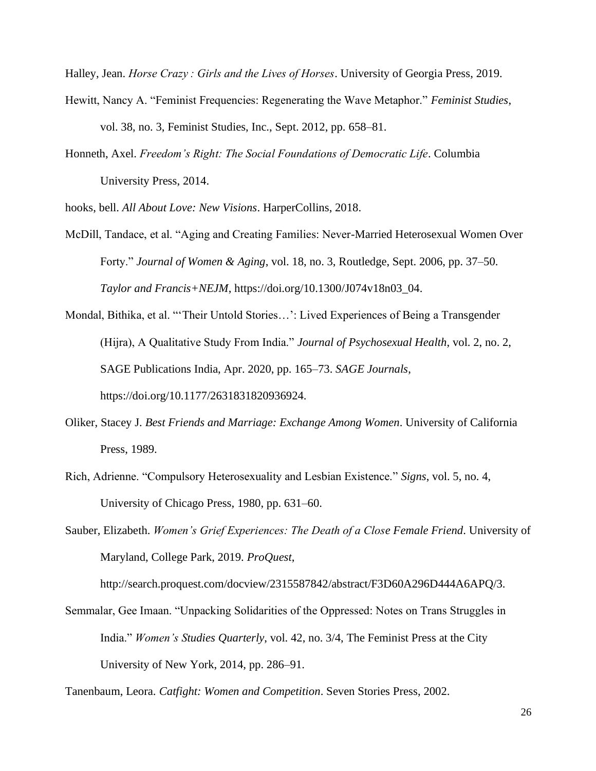Halley, Jean. *Horse Crazy : Girls and the Lives of Horses*. University of Georgia Press, 2019.

- Hewitt, Nancy A. "Feminist Frequencies: Regenerating the Wave Metaphor." *Feminist Studies*, vol. 38, no. 3, Feminist Studies, Inc., Sept. 2012, pp. 658–81.
- Honneth, Axel. *Freedom's Right: The Social Foundations of Democratic Life*. Columbia University Press, 2014.

hooks, bell. *All About Love: New Visions*. HarperCollins, 2018.

- McDill, Tandace, et al. "Aging and Creating Families: Never-Married Heterosexual Women Over Forty." *Journal of Women & Aging*, vol. 18, no. 3, Routledge, Sept. 2006, pp. 37–50. *Taylor and Francis+NEJM*, https://doi.org/10.1300/J074v18n03\_04.
- Mondal, Bithika, et al. "'Their Untold Stories…': Lived Experiences of Being a Transgender (Hijra), A Qualitative Study From India." *Journal of Psychosexual Health*, vol. 2, no. 2, SAGE Publications India, Apr. 2020, pp. 165–73. *SAGE Journals*, https://doi.org/10.1177/2631831820936924.
- Oliker, Stacey J. *Best Friends and Marriage: Exchange Among Women*. University of California Press, 1989.
- Rich, Adrienne. "Compulsory Heterosexuality and Lesbian Existence." *Signs*, vol. 5, no. 4, University of Chicago Press, 1980, pp. 631–60.
- Sauber, Elizabeth. *Women's Grief Experiences: The Death of a Close Female Friend*. University of Maryland, College Park, 2019. *ProQuest*,

http://search.proquest.com/docview/2315587842/abstract/F3D60A296D444A6APQ/3.

Semmalar, Gee Imaan. "Unpacking Solidarities of the Oppressed: Notes on Trans Struggles in India." *Women's Studies Quarterly*, vol. 42, no. 3/4, The Feminist Press at the City University of New York, 2014, pp. 286–91.

Tanenbaum, Leora. *Catfight: Women and Competition*. Seven Stories Press, 2002.